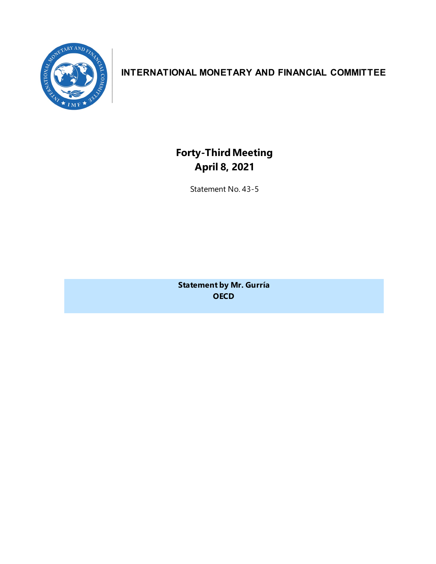

### **INTERNATIONAL MONETARY AND FINANCIAL COMMITTEE**

**Forty-ThirdMeeting April 8, 2021**

Statement No. 43-5

**Statement by Mr. Gurría OECD**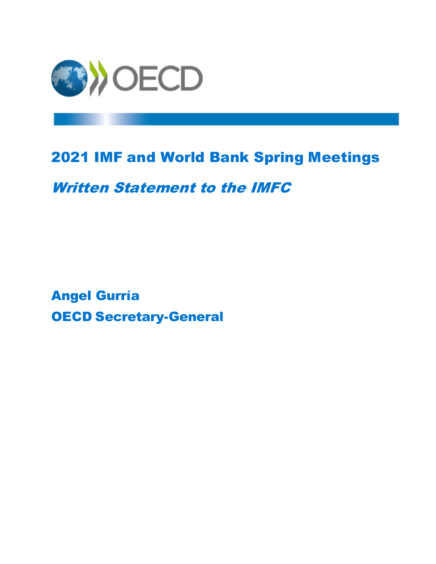

# 2021 IMF and World Bank Spring Meetings

## Written Statement to the IMFC

Angel Gurría OECD Secretary-General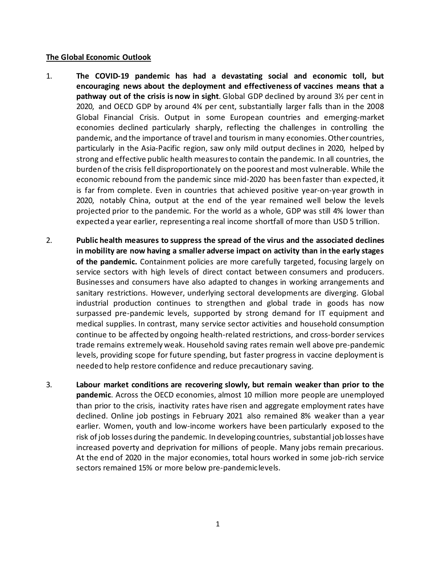### **The Global Economic Outlook**

- 1. **The COVID-19 pandemic has had a devastating social and economic toll, but encouraging news about the deployment and effectiveness of vaccines means that a pathway out of the crisis is now in sight**. Global GDP declined by around 3½ per cent in 2020, and OECD GDP by around 4¾ per cent, substantially larger falls than in the 2008 Global Financial Crisis. Output in some European countries and emerging-market economies declined particularly sharply, reflecting the challenges in controlling the pandemic, and the importance of travel and tourism in many economies. Other countries, particularly in the Asia-Pacific region, saw only mild output declines in 2020, helped by strong and effective public health measures to contain the pandemic. In all countries, the burden of the crisis fell disproportionately on the poorest and most vulnerable. While the economic rebound from the pandemic since mid-2020 has been faster than expected, it is far from complete. Even in countries that achieved positive year-on-year growth in 2020, notably China, output at the end of the year remained well below the levels projected prior to the pandemic. For the world as a whole, GDP was still 4% lower than expected a year earlier, representing a real income shortfall of more than USD 5 trillion.
- 2. **Public health measures to suppress the spread of the virus and the associated declines in mobility are now having a smaller adverse impact on activity than in the early stages of the pandemic.** Containment policies are more carefully targeted, focusing largely on service sectors with high levels of direct contact between consumers and producers. Businesses and consumers have also adapted to changes in working arrangements and sanitary restrictions. However, underlying sectoral developments are diverging. Global industrial production continues to strengthen and global trade in goods has now surpassed pre-pandemic levels, supported by strong demand for IT equipment and medical supplies. In contrast, many service sector activities and household consumption continue to be affected by ongoing health-related restrictions, and cross-border services trade remains extremely weak. Household saving rates remain well above pre-pandemic levels, providing scope for future spending, but faster progress in vaccine deployment is needed to help restore confidence and reduce precautionary saving.
- 3. **Labour market conditions are recovering slowly, but remain weaker than prior to the pandemic**. Across the OECD economies, almost 10 million more people are unemployed than prior to the crisis, inactivity rates have risen and aggregate employment rates have declined. Online job postings in February 2021 also remained 8% weaker than a year earlier. Women, youth and low-income workers have been particularly exposed to the risk of job losses during the pandemic. In developing countries, substantial job losses have increased poverty and deprivation for millions of people. Many jobs remain precarious. At the end of 2020 in the major economies, total hours worked in some job-rich service sectors remained 15% or more below pre-pandemic levels.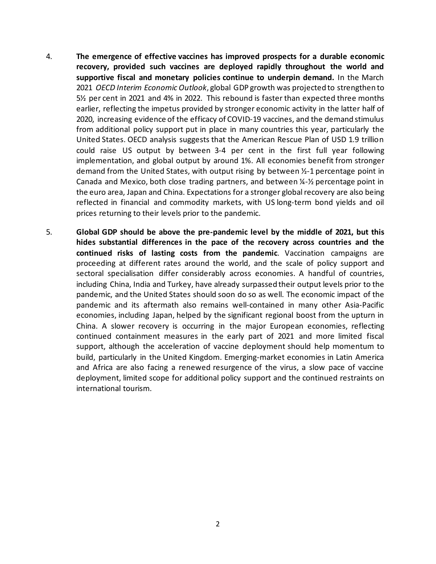- 4. **The emergence of effective vaccines has improved prospects for a durable economic recovery, provided such vaccines are deployed rapidly throughout the world and supportive fiscal and monetary policies continue to underpin demand.** In the March 2021 *OECD Interim Economic Outlook*, global GDP growth was projected to strengthen to 5½ per cent in 2021 and 4% in 2022. This rebound is faster than expected three months earlier, reflecting the impetus provided by stronger economic activity in the latter half of 2020, increasing evidence of the efficacy of COVID-19 vaccines, and the demand stimulus from additional policy support put in place in many countries this year, particularly the United States. OECD analysis suggests that the American Rescue Plan of USD 1.9 trillion could raise US output by between 3-4 per cent in the first full year following implementation, and global output by around 1%. All economies benefit from stronger demand from the United States, with output rising by between ½-1 percentage point in Canada and Mexico, both close trading partners, and between  $\frac{1}{4}$ - $\frac{1}{2}$  percentage point in the euro area, Japan and China. Expectations for a stronger global recovery are also being reflected in financial and commodity markets, with US long-term bond yields and oil prices returning to their levels prior to the pandemic.
- 5. **Global GDP should be above the pre-pandemic level by the middle of 2021, but this hides substantial differences in the pace of the recovery across countries and the continued risks of lasting costs from the pandemic**. Vaccination campaigns are proceeding at different rates around the world, and the scale of policy support and sectoral specialisation differ considerably across economies. A handful of countries, including China, India and Turkey, have already surpassed their output levels prior to the pandemic, and the United States should soon do so as well. The economic impact of the pandemic and its aftermath also remains well-contained in many other Asia-Pacific economies, including Japan, helped by the significant regional boost from the upturn in China. A slower recovery is occurring in the major European economies, reflecting continued containment measures in the early part of 2021 and more limited fiscal support, although the acceleration of vaccine deployment should help momentum to build, particularly in the United Kingdom. Emerging-market economies in Latin America and Africa are also facing a renewed resurgence of the virus, a slow pace of vaccine deployment, limited scope for additional policy support and the continued restraints on international tourism.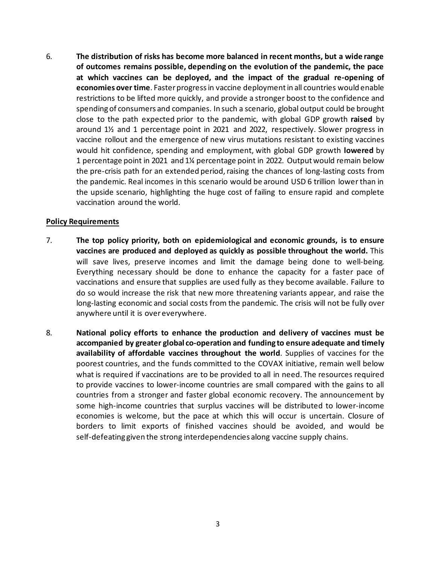6. **The distribution of risks has become more balanced in recent months, but a wide range of outcomes remains possible, depending on the evolution of the pandemic, the pace at which vaccines can be deployed, and the impact of the gradual re-opening of economies over time**. Faster progress in vaccine deployment in all countries would enable restrictions to be lifted more quickly, and provide a stronger boost to the confidence and spending of consumers and companies. In such a scenario, global output could be brought close to the path expected prior to the pandemic, with global GDP growth **raised** by around 1½ and 1 percentage point in 2021 and 2022, respectively. Slower progress in vaccine rollout and the emergence of new virus mutations resistant to existing vaccines would hit confidence, spending and employment, with global GDP growth **lowered** by 1 percentage point in 2021 and 1¼ percentage point in 2022. Output would remain below the pre-crisis path for an extended period, raising the chances of long-lasting costs from the pandemic. Real incomes in this scenario would be around USD 6 trillion lower than in the upside scenario, highlighting the huge cost of failing to ensure rapid and complete vaccination around the world.

### **Policy Requirements**

- 7. **The top policy priority, both on epidemiological and economic grounds, is to ensure vaccines are produced and deployed as quickly as possible throughout the world.** This will save lives, preserve incomes and limit the damage being done to well-being. Everything necessary should be done to enhance the capacity for a faster pace of vaccinations and ensure that supplies are used fully as they become available. Failure to do so would increase the risk that new more threatening variants appear, and raise the long-lasting economic and social costs from the pandemic. The crisis will not be fully over anywhere until it is over everywhere.
- 8. **National policy efforts to enhance the production and delivery of vaccines must be accompanied by greater global co-operation and funding to ensure adequate and timely availability of affordable vaccines throughout the world**. Supplies of vaccines for the poorest countries, and the funds committed to the COVAX initiative, remain well below what is required if vaccinations are to be provided to all in need. The resources required to provide vaccines to lower-income countries are small compared with the gains to all countries from a stronger and faster global economic recovery. The announcement by some high-income countries that surplus vaccines will be distributed to lower-income economies is welcome, but the pace at which this will occur is uncertain. Closure of borders to limit exports of finished vaccines should be avoided, and would be self-defeating given the strong interdependencies along vaccine supply chains.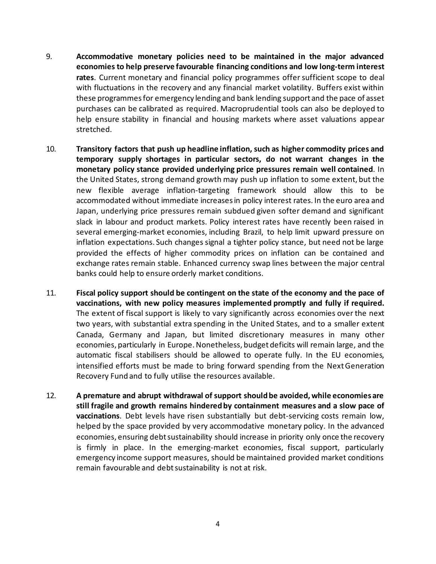- 9. **Accommodative monetary policies need to be maintained in the major advanced economies to help preserve favourable financing conditions and low long-term interest rates**. Current monetary and financial policy programmes offer sufficient scope to deal with fluctuations in the recovery and any financial market volatility. Buffers exist within these programmes for emergency lending and bank lending support and the pace of asset purchases can be calibrated as required. Macroprudential tools can also be deployed to help ensure stability in financial and housing markets where asset valuations appear stretched.
- 10. **Transitory factors that push up headline inflation, such as higher commodity prices and temporary supply shortages in particular sectors, do not warrant changes in the monetary policy stance provided underlying price pressures remain well contained**. In the United States, strong demand growth may push up inflation to some extent, but the new flexible average inflation-targeting framework should allow this to be accommodated without immediate increases in policy interest rates. In the euro area and Japan, underlying price pressures remain subdued given softer demand and significant slack in labour and product markets. Policy interest rates have recently been raised in several emerging-market economies, including Brazil, to help limit upward pressure on inflation expectations. Such changes signal a tighter policy stance, but need not be large provided the effects of higher commodity prices on inflation can be contained and exchange rates remain stable. Enhanced currency swap lines between the major central banks could help to ensure orderly market conditions.
- 11. **Fiscal policy support should be contingent on the state of the economy and the pace of vaccinations, with new policy measures implemented promptly and fully if required.** The extent of fiscal support is likely to vary significantly across economies over the next two years, with substantial extra spending in the United States, and to a smaller extent Canada, Germany and Japan, but limited discretionary measures in many other economies, particularly in Europe. Nonetheless, budget deficits will remain large, and the automatic fiscal stabilisers should be allowed to operate fully. In the EU economies, intensified efforts must be made to bring forward spending from the NextGeneration Recovery Fund and to fully utilise the resources available.
- 12. **A premature and abrupt withdrawal of support should be avoided,while economies are still fragile and growth remains hindered by containment measures and a slow pace of vaccinations**. Debt levels have risen substantially but debt-servicing costs remain low, helped by the space provided by very accommodative monetary policy. In the advanced economies, ensuring debt sustainability should increase in priority only once the recovery is firmly in place. In the emerging-market economies, fiscal support, particularly emergency income support measures, should be maintained provided market conditions remain favourable and debt sustainability is not at risk.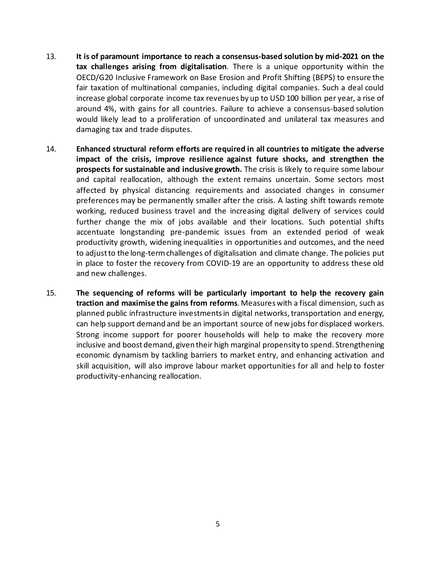- 13. **It is of paramount importance to reach a consensus-based solution by mid-2021 on the tax challenges arising from digitalisation**. There is a unique opportunity within the OECD/G20 Inclusive Framework on Base Erosion and Profit Shifting (BEPS) to ensure the fair taxation of multinational companies, including digital companies. Such a deal could increase global corporate income tax revenues by up to USD 100 billion per year, a rise of around 4%, with gains for all countries. Failure to achieve a consensus-based solution would likely lead to a proliferation of uncoordinated and unilateral tax measures and damaging tax and trade disputes.
- 14. **Enhanced structural reform efforts are required in all countries to mitigate the adverse impact of the crisis, improve resilience against future shocks, and strengthen the prospects for sustainable and inclusive growth.** The crisis is likely to require some labour and capital reallocation, although the extent remains uncertain. Some sectors most affected by physical distancing requirements and associated changes in consumer preferences may be permanently smaller after the crisis. A lasting shift towards remote working, reduced business travel and the increasing digital delivery of services could further change the mix of jobs available and their locations. Such potential shifts accentuate longstanding pre-pandemic issues from an extended period of weak productivity growth, widening inequalities in opportunities and outcomes, and the need to adjust to the long-term challenges of digitalisation and climate change. The policies put in place to foster the recovery from COVID-19 are an opportunity to address these old and new challenges.
- 15. **The sequencing of reforms will be particularly important to help the recovery gain traction and maximise the gains from reforms**. Measures with a fiscal dimension, such as planned public infrastructure investments in digital networks, transportation and energy, can help support demand and be an important source of new jobs for displaced workers. Strong income support for poorer households will help to make the recovery more inclusive and boost demand, given their high marginal propensity to spend. Strengthening economic dynamism by tackling barriers to market entry, and enhancing activation and skill acquisition, will also improve labour market opportunities for all and help to foster productivity-enhancing reallocation.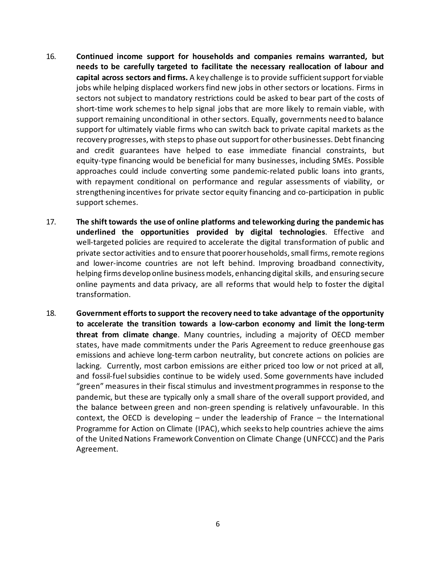- 16. **Continued income support for households and companies remains warranted, but needs to be carefully targeted to facilitate the necessary reallocation of labour and capital across sectors and firms.** A key challenge is to provide sufficient support for viable jobs while helping displaced workers find new jobs in other sectors or locations. Firms in sectors not subject to mandatory restrictions could be asked to bear part of the costs of short-time work schemes to help signal jobs that are more likely to remain viable, with support remaining unconditional in other sectors. Equally, governments need to balance support for ultimately viable firms who can switch back to private capital markets as the recovery progresses, with steps to phase out support for other businesses. Debt financing and credit guarantees have helped to ease immediate financial constraints, but equity-type financing would be beneficial for many businesses, including SMEs. Possible approaches could include converting some pandemic-related public loans into grants, with repayment conditional on performance and regular assessments of viability, or strengthening incentives for private sector equity financing and co-participation in public support schemes.
- 17. **The shift towards the use of online platforms and teleworking during the pandemic has underlined the opportunities provided by digital technologies**. Effective and well-targeted policies are required to accelerate the digital transformation of public and private sector activities and to ensure that poorer households, small firms, remote regions and lower-income countries are not left behind. Improving broadband connectivity, helping firms develop online business models, enhancing digital skills, and ensuring secure online payments and data privacy, are all reforms that would help to foster the digital transformation.
- 18. **Government efforts to support the recovery need to take advantage of the opportunity to accelerate the transition towards a low-carbon economy and limit the long-term threat from climate change**. Many countries, including a majority of OECD member states, have made commitments under the Paris Agreement to reduce greenhouse gas emissions and achieve long-term carbon neutrality, but concrete actions on policies are lacking. Currently, most carbon emissions are either priced too low or not priced at all, and fossil-fuel subsidies continue to be widely used. Some governments have included "green" measures in their fiscal stimulus and investment programmes in response to the pandemic, but these are typically only a small share of the overall support provided, and the balance between green and non-green spending is relatively unfavourable. In this context, the OECD is developing – under the leadership of France – the International Programme for Action on Climate (IPAC), which seeks to help countries achieve the aims of the United Nations Framework Convention on Climate Change (UNFCCC) and the Paris Agreement.